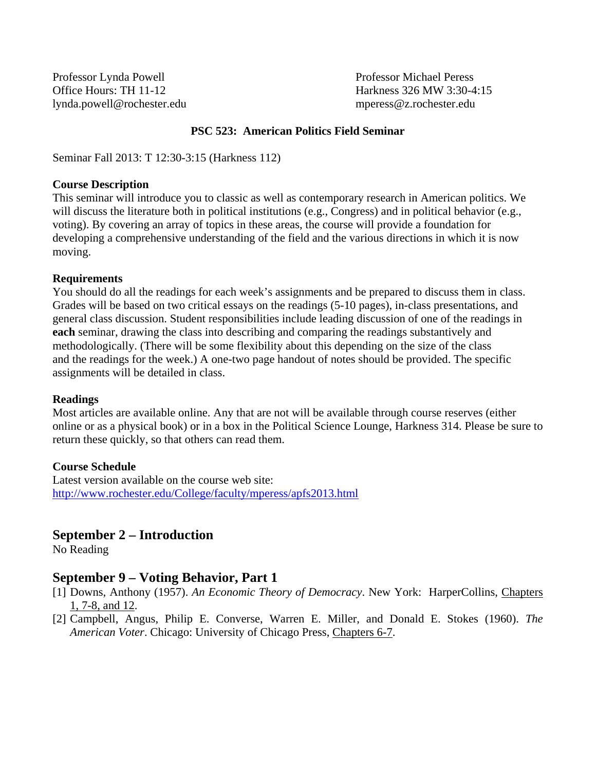Professor Lynda Powell **Professor Michael Peress** lynda.powell@rochester.edu mperess@z.rochester.edu

Office Hours: TH 11-12 Harkness 326 MW 3:30-4:15

### **PSC 523: American Politics Field Seminar**

Seminar Fall 2013: T 12:30-3:15 (Harkness 112)

#### **Course Description**

This seminar will introduce you to classic as well as contemporary research in American politics. We will discuss the literature both in political institutions (e.g., Congress) and in political behavior (e.g., voting). By covering an array of topics in these areas, the course will provide a foundation for developing a comprehensive understanding of the field and the various directions in which it is now moving.

### **Requirements**

You should do all the readings for each week's assignments and be prepared to discuss them in class. Grades will be based on two critical essays on the readings (5-10 pages), in-class presentations, and general class discussion. Student responsibilities include leading discussion of one of the readings in **each** seminar, drawing the class into describing and comparing the readings substantively and methodologically. (There will be some flexibility about this depending on the size of the class and the readings for the week.) A one-two page handout of notes should be provided. The specific assignments will be detailed in class.

### **Readings**

Most articles are available online. Any that are not will be available through course reserves (either online or as a physical book) or in a box in the Political Science Lounge, Harkness 314. Please be sure to return these quickly, so that others can read them.

### **Course Schedule**

Latest version available on the course web site: http://www.rochester.edu/College/faculty/mperess/apfs2013.html

## **September 2 – Introduction**

No Reading

## **September 9 – Voting Behavior, Part 1**

- [1] Downs, Anthony (1957). *An Economic Theory of Democracy*. New York: HarperCollins, Chapters 1, 7-8, and 12.
- [2] Campbell, Angus, Philip E. Converse, Warren E. Miller, and Donald E. Stokes (1960). *The American Voter*. Chicago: University of Chicago Press, Chapters 6-7.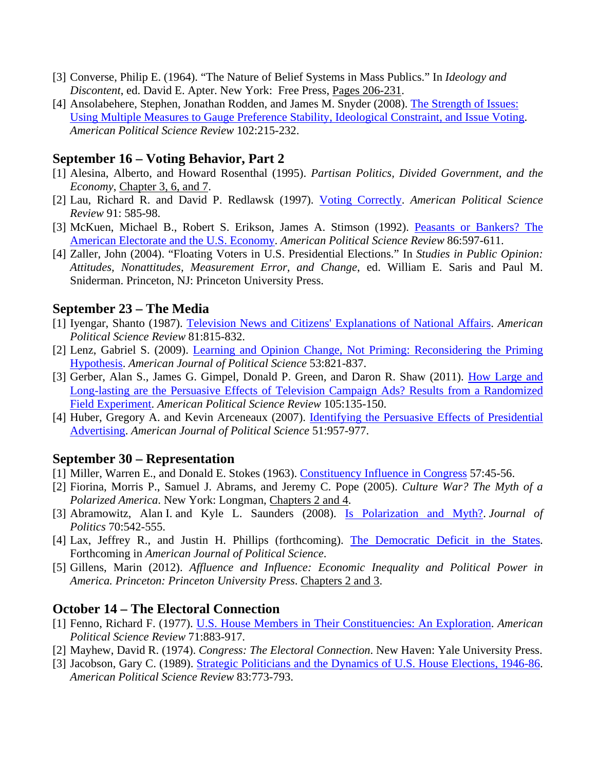- [3] Converse, Philip E. (1964). "The Nature of Belief Systems in Mass Publics." In *Ideology and Discontent*, ed. David E. Apter. New York: Free Press, Pages 206-231.
- [4] Ansolabehere, Stephen, Jonathan Rodden, and James M. Snyder (2008). The Strength of Issues: Using Multiple Measures to Gauge Preference Stability, Ideological Constraint, and Issue Voting. *American Political Science Review* 102:215-232.

# **September 16 – Voting Behavior, Part 2**

- [1] Alesina, Alberto, and Howard Rosenthal (1995). *Partisan Politics, Divided Government, and the Economy*, Chapter 3, 6, and 7.
- [2] Lau, Richard R. and David P. Redlawsk (1997). Voting Correctly. *American Political Science Review* 91: 585-98.
- [3] McKuen, Michael B., Robert S. Erikson, James A. Stimson (1992). Peasants or Bankers? The American Electorate and the U.S. Economy. *American Political Science Review* 86:597-611.
- [4] Zaller, John (2004). "Floating Voters in U.S. Presidential Elections." In *Studies in Public Opinion: Attitudes, Nonattitudes, Measurement Error, and Change*, ed. William E. Saris and Paul M. Sniderman. Princeton, NJ: Princeton University Press.

# **September 23 – The Media**

- [1] Iyengar, Shanto (1987). Television News and Citizens' Explanations of National Affairs. *American Political Science Review* 81:815-832.
- [2] Lenz, Gabriel S. (2009). Learning and Opinion Change, Not Priming: Reconsidering the Priming Hypothesis. *American Journal of Political Science* 53:821-837.
- [3] Gerber, Alan S., James G. Gimpel, Donald P. Green, and Daron R. Shaw (2011). How Large and Long-lasting are the Persuasive Effects of Television Campaign Ads? Results from a Randomized Field Experiment. *American Political Science Review* 105:135-150.
- [4] Huber, Gregory A. and Kevin Arceneaux (2007). *Identifying the Persuasive Effects of Presidential* Advertising. *American Journal of Political Science* 51:957-977.

# **September 30 – Representation**

- [1] Miller, Warren E., and Donald E. Stokes (1963). Constituency Influence in Congress 57:45-56.
- [2] Fiorina, Morris P., Samuel J. Abrams, and Jeremy C. Pope (2005). *Culture War? The Myth of a Polarized America*. New York: Longman, Chapters 2 and 4.
- [3] Abramowitz, Alan I. and Kyle L. Saunders (2008). Is Polarization and Myth?. *Journal of Politics* 70:542-555.
- [4] Lax, Jeffrey R., and Justin H. Phillips (forthcoming). The Democratic Deficit in the States. Forthcoming in *American Journal of Political Science*.
- [5] Gillens, Marin (2012). *Affluence and Influence: Economic Inequality and Political Power in America. Princeton: Princeton University Press*. Chapters 2 and 3.

# **October 14 – The Electoral Connection**

- [1] Fenno, Richard F. (1977). U.S. House Members in Their Constituencies: An Exploration. *American Political Science Review* 71:883-917.
- [2] Mayhew, David R. (1974). *Congress: The Electoral Connection*. New Haven: Yale University Press.
- [3] Jacobson, Gary C. (1989). Strategic Politicians and the Dynamics of U.S. House Elections, 1946-86. *American Political Science Review* 83:773-793.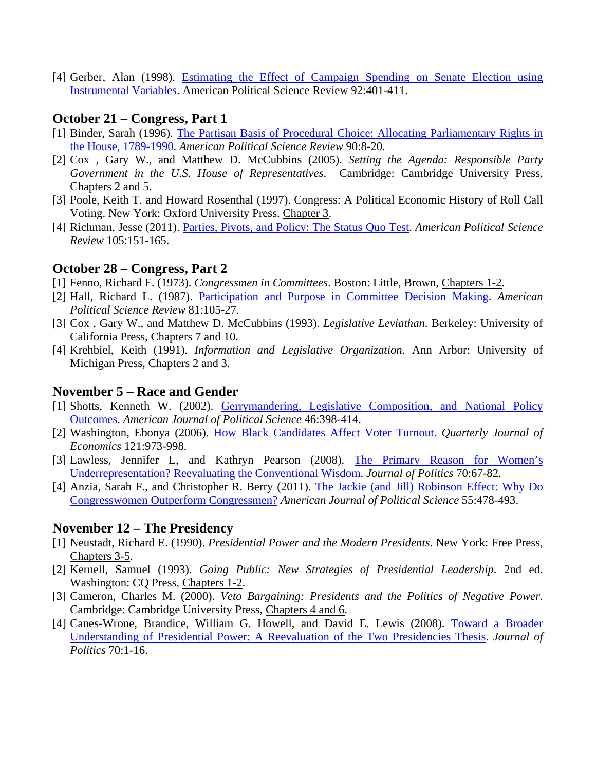[4] Gerber, Alan (1998). Estimating the Effect of Campaign Spending on Senate Election using Instrumental Variables. American Political Science Review 92:401-411.

# **October 21 – Congress, Part 1**

- [1] Binder, Sarah (1996). The Partisan Basis of Procedural Choice: Allocating Parliamentary Rights in the House, 1789-1990. *American Political Science Review* 90:8-20.
- [2] Cox , Gary W., and Matthew D. McCubbins (2005). *Setting the Agenda: Responsible Party Government in the U.S. House of Representatives*. Cambridge: Cambridge University Press, Chapters 2 and 5.
- [3] Poole, Keith T. and Howard Rosenthal (1997). Congress: A Political Economic History of Roll Call Voting. New York: Oxford University Press. Chapter 3.
- [4] Richman, Jesse (2011). Parties, Pivots, and Policy: The Status Quo Test. *American Political Science Review* 105:151-165.

# **October 28 – Congress, Part 2**

- [1] Fenno, Richard F. (1973). *Congressmen in Committees*. Boston: Little, Brown, Chapters 1-2.
- [2] Hall, Richard L. (1987). Participation and Purpose in Committee Decision Making. *American Political Science Review* 81:105-27.
- [3] Cox , Gary W., and Matthew D. McCubbins (1993). *Legislative Leviathan*. Berkeley: University of California Press, Chapters 7 and 10.
- [4] Krehbiel, Keith (1991). *Information and Legislative Organization*. Ann Arbor: University of Michigan Press, Chapters 2 and 3.

# **November 5 – Race and Gender**

- [1] Shotts, Kenneth W. (2002). Gerrymandering, Legislative Composition, and National Policy Outcomes. *American Journal of Political Science* 46:398-414.
- [2] Washington, Ebonya (2006). How Black Candidates Affect Voter Turnout. *Quarterly Journal of Economics* 121:973-998.
- [3] Lawless, Jennifer L, and Kathryn Pearson (2008). The Primary Reason for Women's Underrepresentation? Reevaluating the Conventional Wisdom. *Journal of Politics* 70:67-82.
- [4] Anzia, Sarah F., and Christopher R. Berry (2011). The Jackie (and Jill) Robinson Effect: Why Do Congresswomen Outperform Congressmen? *American Journal of Political Science* 55:478-493.

# **November 12 – The Presidency**

- [1] Neustadt, Richard E. (1990). *Presidential Power and the Modern Presidents*. New York: Free Press, Chapters 3-5.
- [2] Kernell, Samuel (1993). *Going Public: New Strategies of Presidential Leadership*. 2nd ed. Washington: CQ Press, Chapters 1-2.
- [3] Cameron, Charles M. (2000). *Veto Bargaining: Presidents and the Politics of Negative Power*. Cambridge: Cambridge University Press, Chapters 4 and 6.
- [4] Canes-Wrone, Brandice, William G. Howell, and David E. Lewis (2008). Toward a Broader Understanding of Presidential Power: A Reevaluation of the Two Presidencies Thesis. *Journal of Politics* 70:1-16.